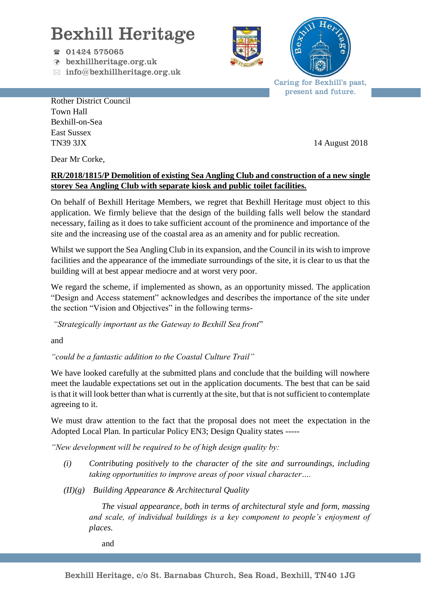## Bexhill Heritage

- $\textcircled{r}$  01424 575065
- bexhillheritage.org.uk
- $\boxtimes$  info@bexhillheritage.org.uk





Caring for Bexhill's past, present and future.

Rother District Council Town Hall Bexhill-on-Sea East Sussex TN39 3JX 14 August 2018

Dear Mr Corke,

## **RR/2018/1815/P Demolition of existing Sea Angling Club and construction of a new single storey Sea Angling Club with separate kiosk and public toilet facilities.**

On behalf of Bexhill Heritage Members, we regret that Bexhill Heritage must object to this application. We firmly believe that the design of the building falls well below the standard necessary, failing as it does to take sufficient account of the prominence and importance of the site and the increasing use of the coastal area as an amenity and for public recreation.

Whilst we support the Sea Angling Club in its expansion, and the Council in its wish to improve facilities and the appearance of the immediate surroundings of the site, it is clear to us that the building will at best appear mediocre and at worst very poor.

We regard the scheme, if implemented as shown, as an opportunity missed. The application "Design and Access statement" acknowledges and describes the importance of the site under the section "Vision and Objectives" in the following terms-

*"Strategically important as the Gateway to Bexhill Sea front*"

and

*"could be a fantastic addition to the Coastal Culture Trail"*

We have looked carefully at the submitted plans and conclude that the building will nowhere meet the laudable expectations set out in the application documents. The best that can be said is that it will look better than what is currently at the site, but that is not sufficient to contemplate agreeing to it.

We must draw attention to the fact that the proposal does not meet the expectation in the Adopted Local Plan. In particular Policy EN3; Design Quality states -----

*"New development will be required to be of high design quality by:*

- *(i) Contributing positively to the character of the site and surroundings, including taking opportunities to improve areas of poor visual character….*
- *(II)(g) Building Appearance & Architectural Quality*

*The visual appearance, both in terms of architectural style and form, massing and scale, of individual buildings is a key component to people's enjoyment of places.*

and